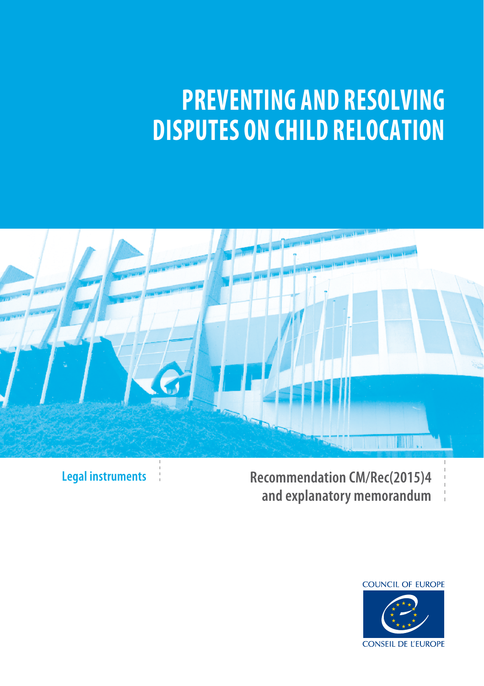# **PREVENTING AND RESOLVING DISPUTES ON CHILD RELOCATION**



**Legal instruments**

**Recommendation CM/Rec(2015)4 and explanatory memorandum**

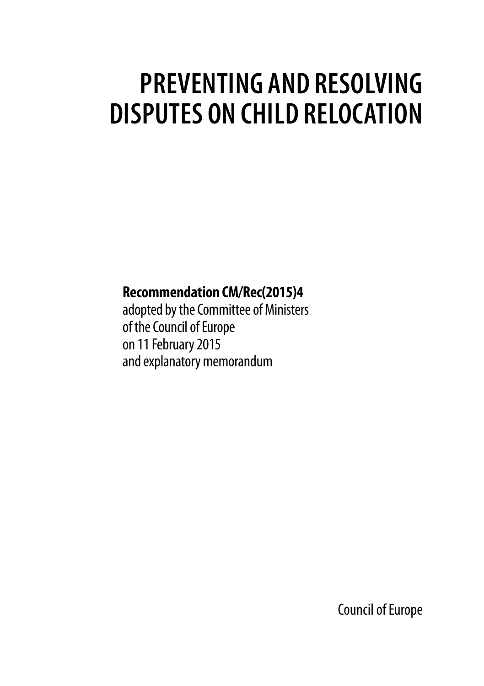# **PREVENTING AND RESOLVING DISPUTES ON CHILD RELOCATION**

## **Recommendation CM/Rec(2015)4**

adopted by the Committee of Ministers of the Council of Europe on 11 February 2015 and explanatory memorandum

Council of Europe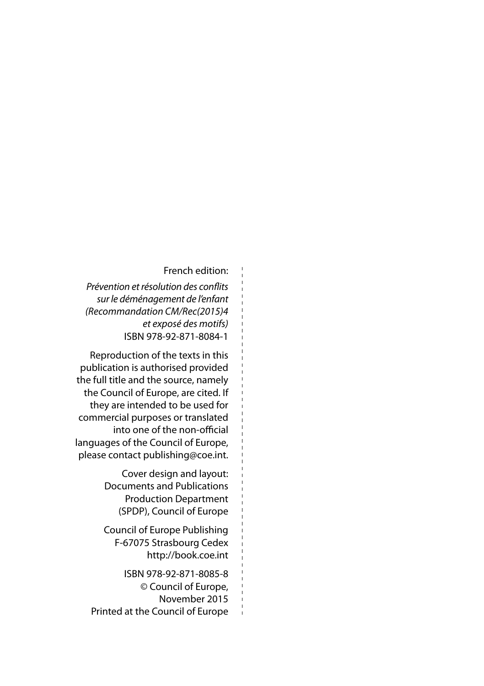#### French edition:

*Prévention et résolution des conflits sur le déménagement de l'enfant (Recommandation CM/Rec(2015)4 et exposé des motifs)* ISBN 978-92-871-8084-1

Reproduction of the texts in this publication is authorised provided the full title and the source, namely the Council of Europe, are cited. If they are intended to be used for commercial purposes or translated into one of the non-official languages of the Council of Europe, please contact publishing@coe.int.

> Cover design and layout: Documents and Publications Production Department (SPDP), Council of Europe

Council of Europe Publishing F-67075 Strasbourg Cedex http://book.coe.int

ISBN 978-92-871-8085-8 © Council of Europe, November 2015 Printed at the Council of Europe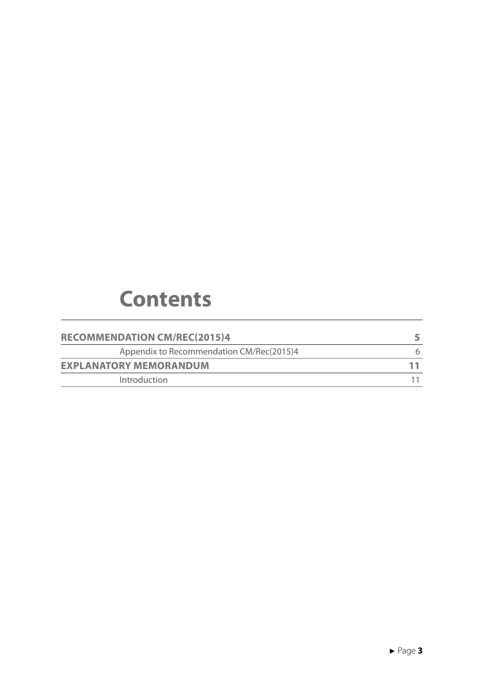## **Contents**

| <b>RECOMMENDATION CM/REC(2015)4</b>      |   |
|------------------------------------------|---|
| Appendix to Recommendation CM/Rec(2015)4 | 6 |
| <b>EXPLANATORY MEMORANDUM</b>            |   |
| Introduction                             |   |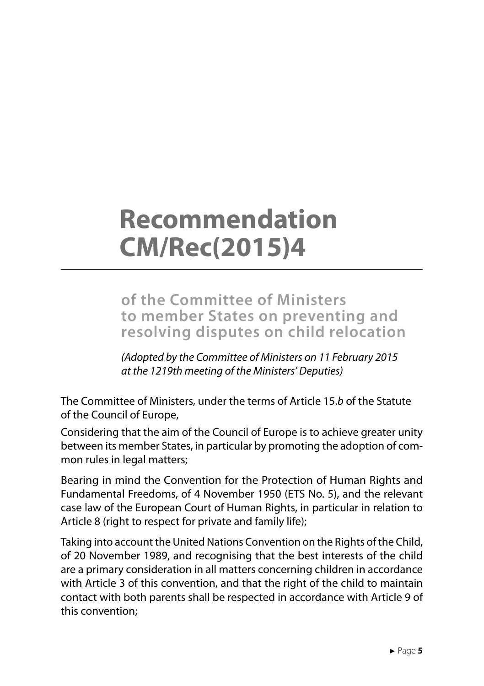## **Recommendation CM/Rec(2015)4**

**of the Committee of Ministers to member States on preventing and resolving disputes on child relocation**

*(Adopted by the Committee of Ministers on 11 February 2015 at the 1219th meeting of the Ministers' Deputies)*

The Committee of Ministers, under the terms of Article 15.*b* of the Statute of the Council of Europe,

Considering that the aim of the Council of Europe is to achieve greater unity between its member States, in particular by promoting the adoption of common rules in legal matters;

Bearing in mind the Convention for the Protection of Human Rights and Fundamental Freedoms, of 4 November 1950 (ETS No. 5), and the relevant case law of the European Court of Human Rights, in particular in relation to Article 8 (right to respect for private and family life);

Taking into account the United Nations Convention on the Rights of the Child, of 20 November 1989, and recognising that the best interests of the child are a primary consideration in all matters concerning children in accordance with Article 3 of this convention, and that the right of the child to maintain contact with both parents shall be respected in accordance with Article 9 of this convention;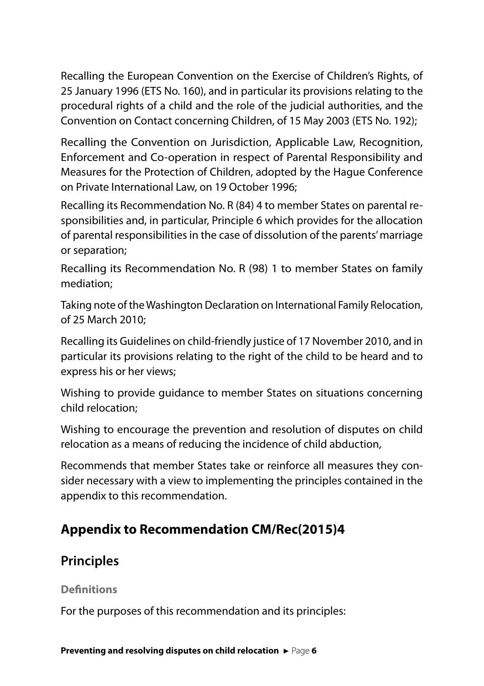Recalling the European Convention on the Exercise of Children's Rights, of 25 January 1996 (ETS No. 160), and in particular its provisions relating to the procedural rights of a child and the role of the judicial authorities, and the Convention on Contact concerning Children, of 15 May 2003 (ETS No. 192);

Recalling the Convention on Jurisdiction, Applicable Law, Recognition, Enforcement and Co-operation in respect of Parental Responsibility and Measures for the Protection of Children, adopted by the Hague Conference on Private International Law, on 19 October 1996;

Recalling its Recommendation No. R (84) 4 to member States on parental responsibilities and, in particular, Principle 6 which provides for the allocation of parental responsibilities in the case of dissolution of the parents' marriage or separation;

Recalling its Recommendation No. R (98) 1 to member States on family mediation;

Taking note of the Washington Declaration on International Family Relocation, of 25 March 2010;

Recalling its Guidelines on child-friendly justice of 17 November 2010, and in particular its provisions relating to the right of the child to be heard and to express his or her views;

Wishing to provide guidance to member States on situations concerning child relocation;

Wishing to encourage the prevention and resolution of disputes on child relocation as a means of reducing the incidence of child abduction,

Recommends that member States take or reinforce all measures they consider necessary with a view to implementing the principles contained in the appendix to this recommendation.

## **Appendix to Recommendation CM/Rec(2015)4**

## **Principles**

#### **Definitions**

For the purposes of this recommendation and its principles: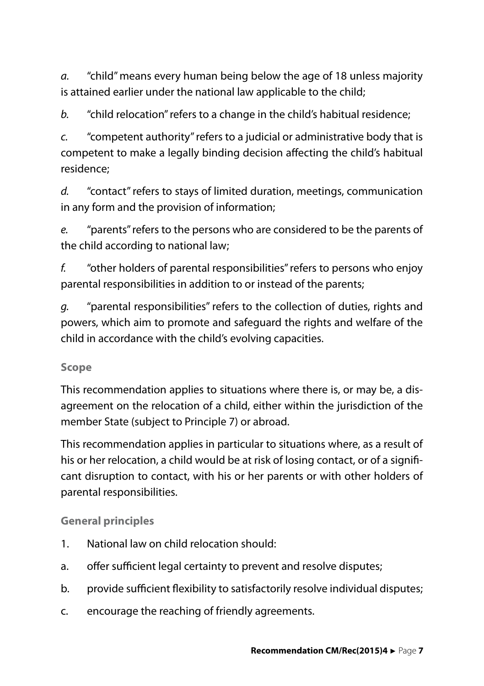*a.* "child" means every human being below the age of 18 unless majority is attained earlier under the national law applicable to the child;

*b.* "child relocation" refers to a change in the child's habitual residence;

*c.* "competent authority" refers to a judicial or administrative body that is competent to make a legally binding decision affecting the child's habitual residence;

*d.* "contact" refers to stays of limited duration, meetings, communication in any form and the provision of information;

*e.* "parents" refers to the persons who are considered to be the parents of the child according to national law;

*f.* "other holders of parental responsibilities" refers to persons who enjoy parental responsibilities in addition to or instead of the parents;

*g.* "parental responsibilities" refers to the collection of duties, rights and powers, which aim to promote and safeguard the rights and welfare of the child in accordance with the child's evolving capacities.

### **Scope**

This recommendation applies to situations where there is, or may be, a disagreement on the relocation of a child, either within the jurisdiction of the member State (subject to Principle 7) or abroad.

This recommendation applies in particular to situations where, as a result of his or her relocation, a child would be at risk of losing contact, or of a significant disruption to contact, with his or her parents or with other holders of parental responsibilities.

### **General principles**

- 1. National law on child relocation should:
- a. offer sufficient legal certainty to prevent and resolve disputes;
- b. provide sufficient flexibility to satisfactorily resolve individual disputes;
- c. encourage the reaching of friendly agreements.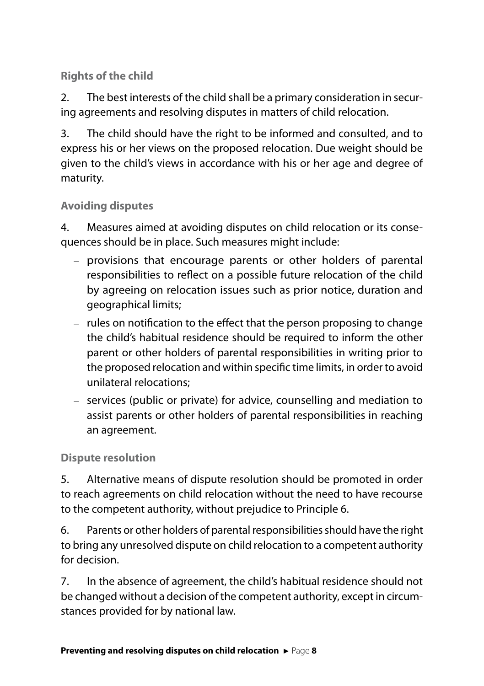## **Rights of the child**

2. The best interests of the child shall be a primary consideration in securing agreements and resolving disputes in matters of child relocation.

3. The child should have the right to be informed and consulted, and to express his or her views on the proposed relocation. Due weight should be given to the child's views in accordance with his or her age and degree of maturity.

#### **Avoiding disputes**

4. Measures aimed at avoiding disputes on child relocation or its consequences should be in place. Such measures might include:

- provisions that encourage parents or other holders of parental responsibilities to reflect on a possible future relocation of the child by agreeing on relocation issues such as prior notice, duration and geographical limits;
- rules on notification to the effect that the person proposing to change the child's habitual residence should be required to inform the other parent or other holders of parental responsibilities in writing prior to the proposed relocation and within specific time limits, in order to avoid unilateral relocations;
- services (public or private) for advice, counselling and mediation to assist parents or other holders of parental responsibilities in reaching an agreement.

#### **Dispute resolution**

5. Alternative means of dispute resolution should be promoted in order to reach agreements on child relocation without the need to have recourse to the competent authority, without prejudice to Principle 6.

6. Parents or other holders of parental responsibilities should have the right to bring any unresolved dispute on child relocation to a competent authority for decision.

7. In the absence of agreement, the child's habitual residence should not be changed without a decision of the competent authority, except in circumstances provided for by national law.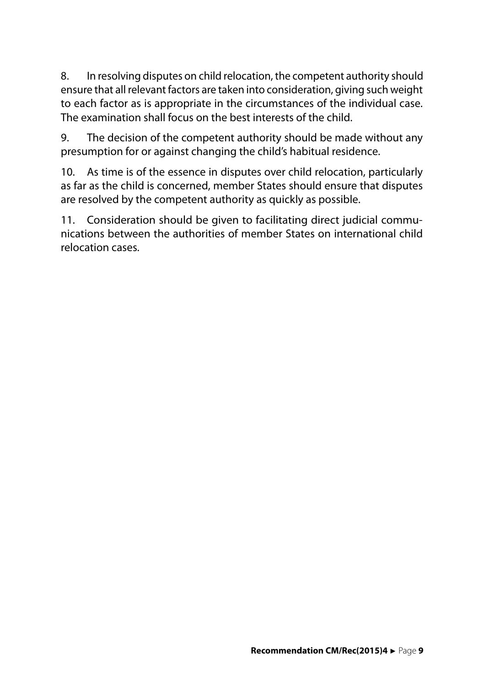8. In resolving disputes on child relocation, the competent authority should ensure that all relevant factors are taken into consideration, giving such weight to each factor as is appropriate in the circumstances of the individual case. The examination shall focus on the best interests of the child.

9. The decision of the competent authority should be made without any presumption for or against changing the child's habitual residence.

10. As time is of the essence in disputes over child relocation, particularly as far as the child is concerned, member States should ensure that disputes are resolved by the competent authority as quickly as possible.

11. Consideration should be given to facilitating direct judicial communications between the authorities of member States on international child relocation cases.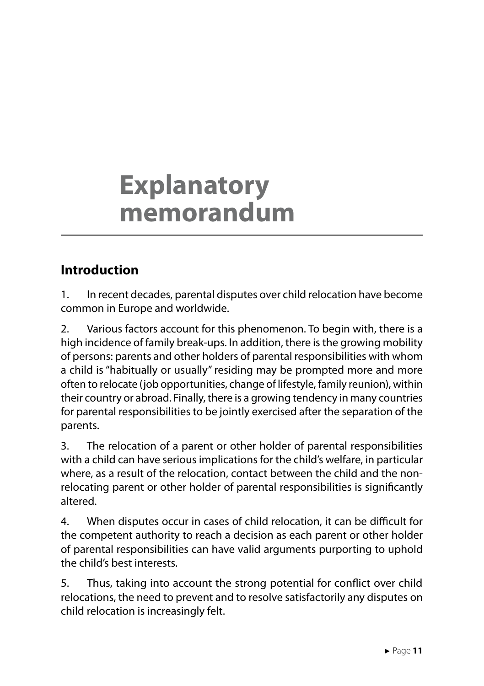## **Explanatory memorandum**

## **Introduction**

1. In recent decades, parental disputes over child relocation have become common in Europe and worldwide.

2. Various factors account for this phenomenon. To begin with, there is a high incidence of family break-ups. In addition, there is the growing mobility of persons: parents and other holders of parental responsibilities with whom a child is "habitually or usually" residing may be prompted more and more often to relocate (job opportunities, change of lifestyle, family reunion), within their country or abroad. Finally, there is a growing tendency in many countries for parental responsibilities to be jointly exercised after the separation of the parents.

3. The relocation of a parent or other holder of parental responsibilities with a child can have serious implications for the child's welfare, in particular where, as a result of the relocation, contact between the child and the nonrelocating parent or other holder of parental responsibilities is significantly altered.

4. When disputes occur in cases of child relocation, it can be difficult for the competent authority to reach a decision as each parent or other holder of parental responsibilities can have valid arguments purporting to uphold the child's best interests.

5. Thus, taking into account the strong potential for conflict over child relocations, the need to prevent and to resolve satisfactorily any disputes on child relocation is increasingly felt.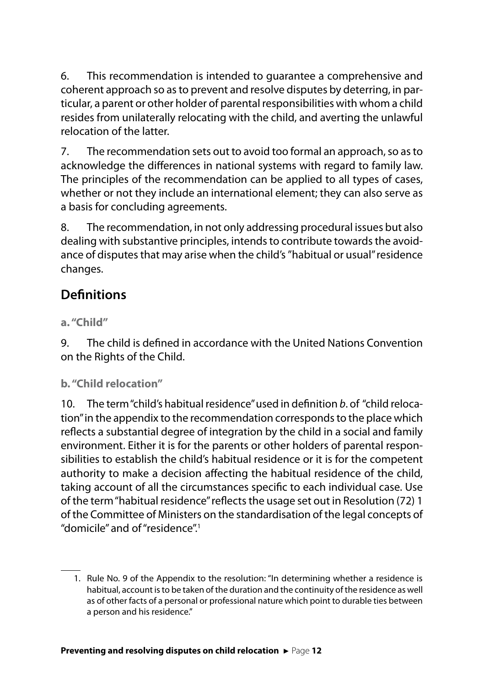6. This recommendation is intended to guarantee a comprehensive and coherent approach so as to prevent and resolve disputes by deterring, in particular, a parent or other holder of parental responsibilities with whom a child resides from unilaterally relocating with the child, and averting the unlawful relocation of the latter.

7. The recommendation sets out to avoid too formal an approach, so as to acknowledge the differences in national systems with regard to family law. The principles of the recommendation can be applied to all types of cases, whether or not they include an international element; they can also serve as a basis for concluding agreements.

8. The recommendation, in not only addressing procedural issues but also dealing with substantive principles, intends to contribute towards the avoidance of disputes that may arise when the child's "habitual or usual" residence changes.

## **Definitions**

## **a. "Child"**

9. The child is defined in accordance with the United Nations Convention on the Rights of the Child.

### **b. "Child relocation"**

10. The term "child's habitual residence" used in definition *b*. of "child relocation" in the appendix to the recommendation corresponds to the place which reflects a substantial degree of integration by the child in a social and family environment. Either it is for the parents or other holders of parental responsibilities to establish the child's habitual residence or it is for the competent authority to make a decision affecting the habitual residence of the child, taking account of all the circumstances specific to each individual case. Use of the term "habitual residence" reflects the usage set out in Resolution (72) 1 of the Committee of Ministers on the standardisation of the legal concepts of "domicile" and of "residence".1

<sup>1.</sup> Rule No. 9 of the Appendix to the resolution: "In determining whether a residence is habitual, account is to be taken of the duration and the continuity of the residence as well as of other facts of a personal or professional nature which point to durable ties between a person and his residence."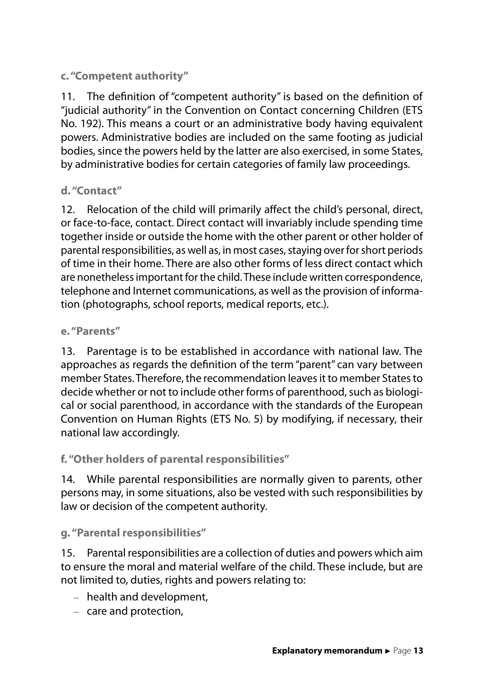**c. "Competent authority"**

11. The definition of "competent authority" is based on the definition of "judicial authority" in the Convention on Contact concerning Children (ETS No. 192). This means a court or an administrative body having equivalent powers. Administrative bodies are included on the same footing as judicial bodies, since the powers held by the latter are also exercised, in some States, by administrative bodies for certain categories of family law proceedings.

## **d. "Contact"**

12. Relocation of the child will primarily affect the child's personal, direct, or face-to-face, contact. Direct contact will invariably include spending time together inside or outside the home with the other parent or other holder of parental responsibilities, as well as, in most cases, staying over for short periods of time in their home. There are also other forms of less direct contact which are nonetheless important for the child. These include written correspondence, telephone and Internet communications, as well as the provision of information (photographs, school reports, medical reports, etc.).

#### **e. "Parents"**

13. Parentage is to be established in accordance with national law. The approaches as regards the definition of the term "parent" can vary between member States. Therefore, the recommendation leaves it to member States to decide whether or not to include other forms of parenthood, such as biological or social parenthood, in accordance with the standards of the European Convention on Human Rights (ETS No. 5) by modifying, if necessary, their national law accordingly.

**f. "Other holders of parental responsibilities"**

14. While parental responsibilities are normally given to parents, other persons may, in some situations, also be vested with such responsibilities by law or decision of the competent authority.

**g. "Parental responsibilities"**

15. Parental responsibilities are a collection of duties and powers which aim to ensure the moral and material welfare of the child. These include, but are not limited to, duties, rights and powers relating to:

- health and development,
- care and protection,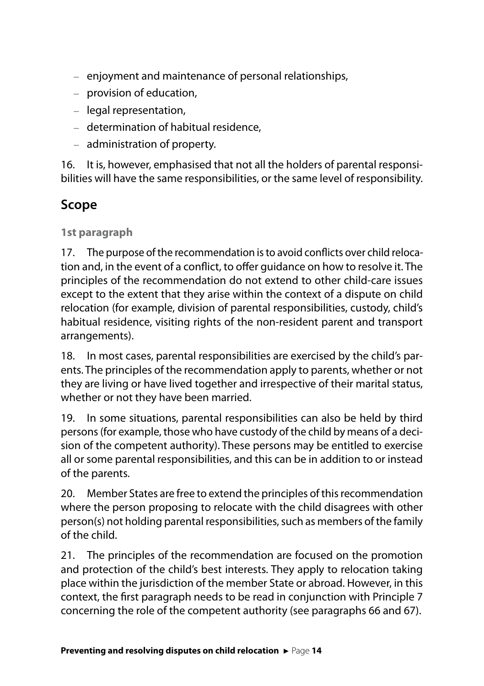- enjoyment and maintenance of personal relationships,
- provision of education,
- legal representation,
- determination of habitual residence,
- administration of property.

16. It is, however, emphasised that not all the holders of parental responsibilities will have the same responsibilities, or the same level of responsibility.

## **Scope**

**1st paragraph**

17. The purpose of the recommendation is to avoid conflicts over child relocation and, in the event of a conflict, to offer guidance on how to resolve it. The principles of the recommendation do not extend to other child-care issues except to the extent that they arise within the context of a dispute on child relocation (for example, division of parental responsibilities, custody, child's habitual residence, visiting rights of the non-resident parent and transport arrangements).

18. In most cases, parental responsibilities are exercised by the child's parents. The principles of the recommendation apply to parents, whether or not they are living or have lived together and irrespective of their marital status, whether or not they have been married.

19. In some situations, parental responsibilities can also be held by third persons (for example, those who have custody of the child by means of a decision of the competent authority). These persons may be entitled to exercise all or some parental responsibilities, and this can be in addition to or instead of the parents.

20. Member States are free to extend the principles of this recommendation where the person proposing to relocate with the child disagrees with other person(s) not holding parental responsibilities, such as members of the family of the child.

21. The principles of the recommendation are focused on the promotion and protection of the child's best interests. They apply to relocation taking place within the jurisdiction of the member State or abroad. However, in this context, the first paragraph needs to be read in conjunction with Principle 7 concerning the role of the competent authority (see paragraphs 66 and 67).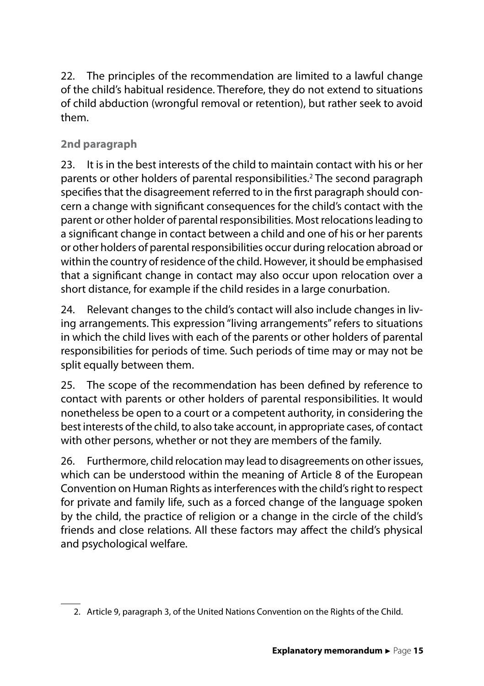22. The principles of the recommendation are limited to a lawful change of the child's habitual residence. Therefore, they do not extend to situations of child abduction (wrongful removal or retention), but rather seek to avoid them.

## **2nd paragraph**

23. It is in the best interests of the child to maintain contact with his or her parents or other holders of parental responsibilities.<sup>2</sup> The second paragraph specifies that the disagreement referred to in the first paragraph should concern a change with significant consequences for the child's contact with the parent or other holder of parental responsibilities. Most relocations leading to a significant change in contact between a child and one of his or her parents or other holders of parental responsibilities occur during relocation abroad or within the country of residence of the child. However, it should be emphasised that a significant change in contact may also occur upon relocation over a short distance, for example if the child resides in a large conurbation.

24. Relevant changes to the child's contact will also include changes in living arrangements. This expression "living arrangements" refers to situations in which the child lives with each of the parents or other holders of parental responsibilities for periods of time. Such periods of time may or may not be split equally between them.

25. The scope of the recommendation has been defined by reference to contact with parents or other holders of parental responsibilities. It would nonetheless be open to a court or a competent authority, in considering the best interests of the child, to also take account, in appropriate cases, of contact with other persons, whether or not they are members of the family.

26. Furthermore, child relocation may lead to disagreements on other issues, which can be understood within the meaning of Article 8 of the European Convention on Human Rights as interferences with the child's right to respect for private and family life, such as a forced change of the language spoken by the child, the practice of religion or a change in the circle of the child's friends and close relations. All these factors may affect the child's physical and psychological welfare.

<sup>2.</sup> Article 9, paragraph 3, of the United Nations Convention on the Rights of the Child.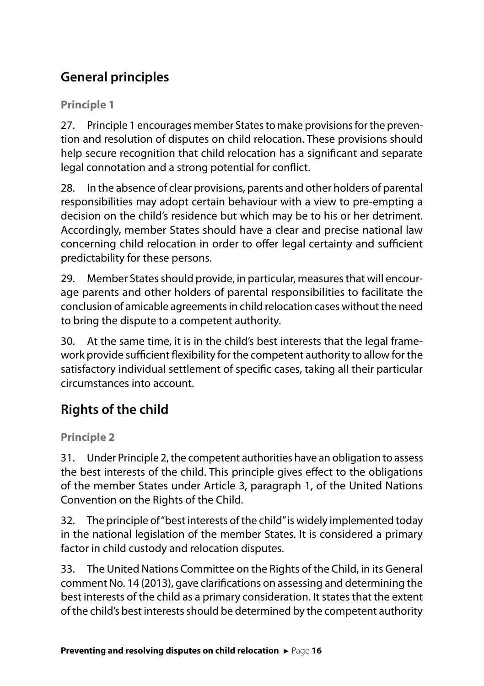## **General principles**

**Principle 1**

27. Principle 1 encourages member States to make provisions for the prevention and resolution of disputes on child relocation. These provisions should help secure recognition that child relocation has a significant and separate legal connotation and a strong potential for conflict.

28. In the absence of clear provisions, parents and other holders of parental responsibilities may adopt certain behaviour with a view to pre-empting a decision on the child's residence but which may be to his or her detriment. Accordingly, member States should have a clear and precise national law concerning child relocation in order to offer legal certainty and sufficient predictability for these persons.

29. Member States should provide, in particular, measures that will encourage parents and other holders of parental responsibilities to facilitate the conclusion of amicable agreements in child relocation cases without the need to bring the dispute to a competent authority.

30. At the same time, it is in the child's best interests that the legal framework provide sufficient flexibility for the competent authority to allow for the satisfactory individual settlement of specific cases, taking all their particular circumstances into account.

## **Rights of the child**

**Principle 2**

31. Under Principle 2, the competent authorities have an obligation to assess the best interests of the child. This principle gives effect to the obligations of the member States under Article 3, paragraph 1, of the United Nations Convention on the Rights of the Child.

32. The principle of "best interests of the child" is widely implemented today in the national legislation of the member States. It is considered a primary factor in child custody and relocation disputes.

33. The United Nations Committee on the Rights of the Child, in its General comment No. 14 (2013), gave clarifications on assessing and determining the best interests of the child as a primary consideration. It states that the extent of the child's best interests should be determined by the competent authority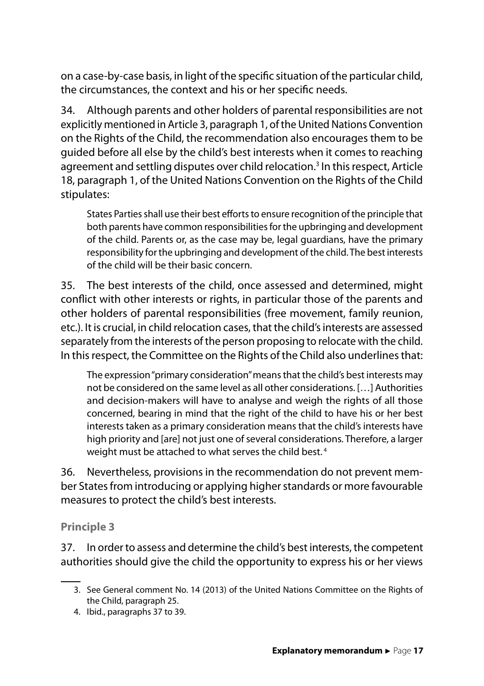on a case-by-case basis, in light of the specific situation of the particular child, the circumstances, the context and his or her specific needs.

34. Although parents and other holders of parental responsibilities are not explicitly mentioned in Article 3, paragraph 1, of the United Nations Convention on the Rights of the Child, the recommendation also encourages them to be guided before all else by the child's best interests when it comes to reaching agreement and settling disputes over child relocation.<sup>3</sup> In this respect, Article 18, paragraph 1, of the United Nations Convention on the Rights of the Child stipulates:

States Parties shall use their best efforts to ensure recognition of the principle that both parents have common responsibilities for the upbringing and development of the child. Parents or, as the case may be, legal guardians, have the primary responsibility for the upbringing and development of the child. The best interests of the child will be their basic concern.

35. The best interests of the child, once assessed and determined, might conflict with other interests or rights, in particular those of the parents and other holders of parental responsibilities (free movement, family reunion, etc.). It is crucial, in child relocation cases, that the child's interests are assessed separately from the interests of the person proposing to relocate with the child. In this respect, the Committee on the Rights of the Child also underlines that:

The expression "primary consideration" means that the child's best interests may not be considered on the same level as all other considerations. […] Authorities and decision-makers will have to analyse and weigh the rights of all those concerned, bearing in mind that the right of the child to have his or her best interests taken as a primary consideration means that the child's interests have high priority and [are] not just one of several considerations. Therefore, a larger weight must be attached to what serves the child best.<sup>4</sup>

36. Nevertheless, provisions in the recommendation do not prevent member States from introducing or applying higher standards or more favourable measures to protect the child's best interests.

#### **Principle 3**

37. In order to assess and determine the child's best interests, the competent authorities should give the child the opportunity to express his or her views

4. Ibid., paragraphs 37 to 39.

<sup>3.</sup> See General comment No. 14 (2013) of the United Nations Committee on the Rights of the Child, paragraph 25.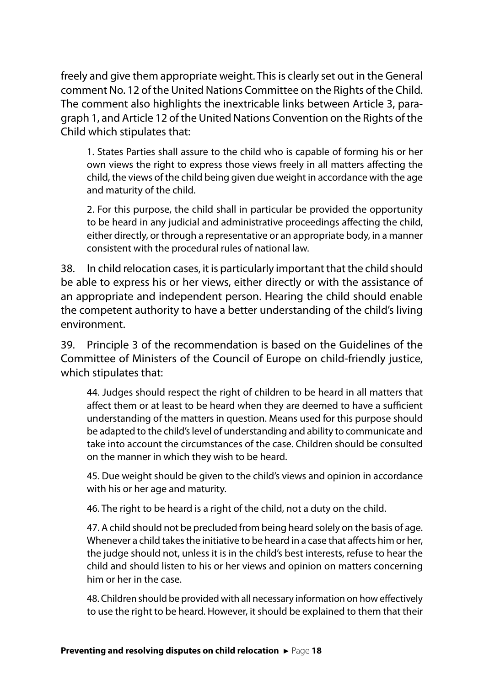freely and give them appropriate weight. This is clearly set out in the General comment No. 12 of the United Nations Committee on the Rights of the Child. The comment also highlights the inextricable links between Article 3, paragraph 1, and Article 12 of the United Nations Convention on the Rights of the Child which stipulates that:

1. States Parties shall assure to the child who is capable of forming his or her own views the right to express those views freely in all matters affecting the child, the views of the child being given due weight in accordance with the age and maturity of the child.

2. For this purpose, the child shall in particular be provided the opportunity to be heard in any judicial and administrative proceedings affecting the child, either directly, or through a representative or an appropriate body, in a manner consistent with the procedural rules of national law.

38. In child relocation cases, it is particularly important that the child should be able to express his or her views, either directly or with the assistance of an appropriate and independent person. Hearing the child should enable the competent authority to have a better understanding of the child's living environment.

39. Principle 3 of the recommendation is based on the Guidelines of the Committee of Ministers of the Council of Europe on child-friendly justice, which stipulates that:

44. Judges should respect the right of children to be heard in all matters that affect them or at least to be heard when they are deemed to have a sufficient understanding of the matters in question. Means used for this purpose should be adapted to the child's level of understanding and ability to communicate and take into account the circumstances of the case. Children should be consulted on the manner in which they wish to be heard.

45. Due weight should be given to the child's views and opinion in accordance with his or her age and maturity.

46. The right to be heard is a right of the child, not a duty on the child.

47. A child should not be precluded from being heard solely on the basis of age. Whenever a child takes the initiative to be heard in a case that affects him or her, the judge should not, unless it is in the child's best interests, refuse to hear the child and should listen to his or her views and opinion on matters concerning him or her in the case.

48. Children should be provided with all necessary information on how effectively to use the right to be heard. However, it should be explained to them that their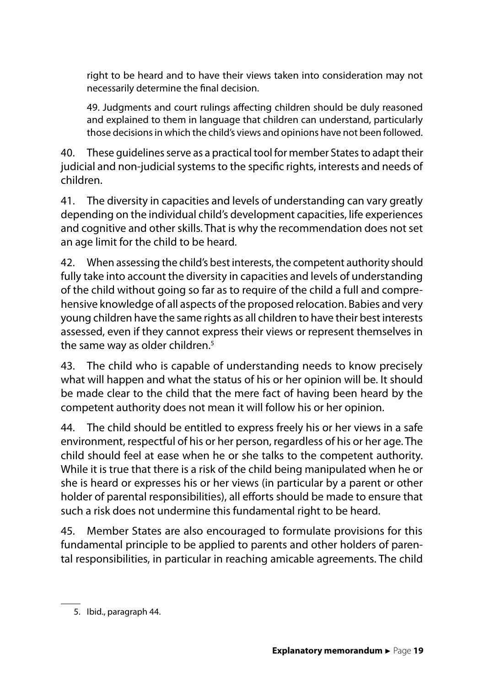right to be heard and to have their views taken into consideration may not necessarily determine the final decision.

49. Judgments and court rulings affecting children should be duly reasoned and explained to them in language that children can understand, particularly those decisions in which the child's views and opinions have not been followed.

40. These guidelines serve as a practical tool for member States to adapt their judicial and non-judicial systems to the specific rights, interests and needs of children.

41. The diversity in capacities and levels of understanding can vary greatly depending on the individual child's development capacities, life experiences and cognitive and other skills. That is why the recommendation does not set an age limit for the child to be heard.

42. When assessing the child's best interests, the competent authority should fully take into account the diversity in capacities and levels of understanding of the child without going so far as to require of the child a full and comprehensive knowledge of all aspects of the proposed relocation. Babies and very young children have the same rights as all children to have their best interests assessed, even if they cannot express their views or represent themselves in the same way as older children.<sup>5</sup>

43. The child who is capable of understanding needs to know precisely what will happen and what the status of his or her opinion will be. It should be made clear to the child that the mere fact of having been heard by the competent authority does not mean it will follow his or her opinion.

44. The child should be entitled to express freely his or her views in a safe environment, respectful of his or her person, regardless of his or her age. The child should feel at ease when he or she talks to the competent authority. While it is true that there is a risk of the child being manipulated when he or she is heard or expresses his or her views (in particular by a parent or other holder of parental responsibilities), all efforts should be made to ensure that such a risk does not undermine this fundamental right to be heard.

45. Member States are also encouraged to formulate provisions for this fundamental principle to be applied to parents and other holders of parental responsibilities, in particular in reaching amicable agreements. The child

<sup>5.</sup> Ibid., paragraph 44.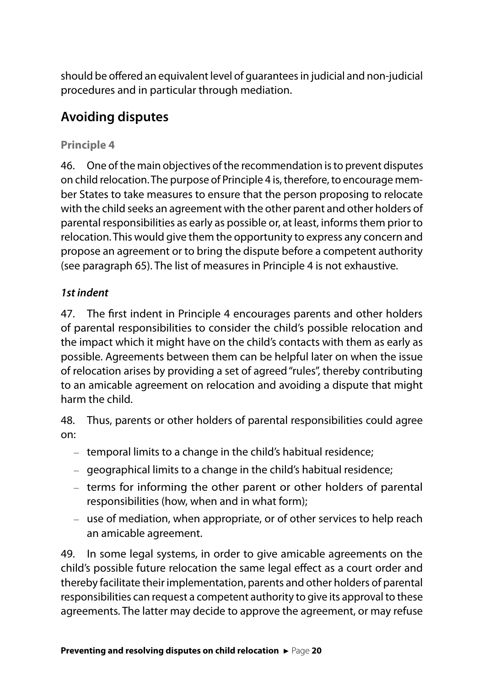should be offered an equivalent level of guarantees in judicial and non-judicial procedures and in particular through mediation.

## **Avoiding disputes**

## **Principle 4**

46. One of the main objectives of the recommendation is to prevent disputes on child relocation. The purpose of Principle 4 is, therefore, to encourage member States to take measures to ensure that the person proposing to relocate with the child seeks an agreement with the other parent and other holders of parental responsibilities as early as possible or, at least, informs them prior to relocation. This would give them the opportunity to express any concern and propose an agreement or to bring the dispute before a competent authority (see paragraph 65). The list of measures in Principle 4 is not exhaustive.

## *1st indent*

47. The first indent in Principle 4 encourages parents and other holders of parental responsibilities to consider the child's possible relocation and the impact which it might have on the child's contacts with them as early as possible. Agreements between them can be helpful later on when the issue of relocation arises by providing a set of agreed "rules", thereby contributing to an amicable agreement on relocation and avoiding a dispute that might harm the child.

48. Thus, parents or other holders of parental responsibilities could agree on:

- temporal limits to a change in the child's habitual residence;
- geographical limits to a change in the child's habitual residence;
- terms for informing the other parent or other holders of parental responsibilities (how, when and in what form);
- use of mediation, when appropriate, or of other services to help reach an amicable agreement.

49. In some legal systems, in order to give amicable agreements on the child's possible future relocation the same legal effect as a court order and thereby facilitate their implementation, parents and other holders of parental responsibilities can request a competent authority to give its approval to these agreements. The latter may decide to approve the agreement, or may refuse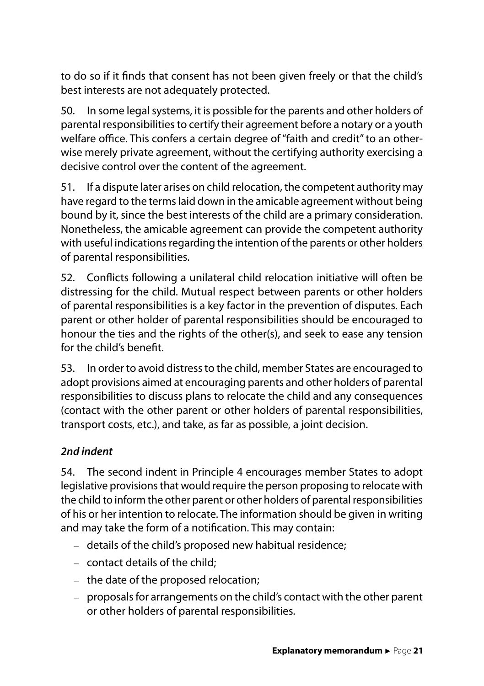to do so if it finds that consent has not been given freely or that the child's best interests are not adequately protected.

50. In some legal systems, it is possible for the parents and other holders of parental responsibilities to certify their agreement before a notary or a youth welfare office. This confers a certain degree of "faith and credit" to an otherwise merely private agreement, without the certifying authority exercising a decisive control over the content of the agreement.

51. If a dispute later arises on child relocation, the competent authority may have regard to the terms laid down in the amicable agreement without being bound by it, since the best interests of the child are a primary consideration. Nonetheless, the amicable agreement can provide the competent authority with useful indications regarding the intention of the parents or other holders of parental responsibilities.

52. Conflicts following a unilateral child relocation initiative will often be distressing for the child. Mutual respect between parents or other holders of parental responsibilities is a key factor in the prevention of disputes. Each parent or other holder of parental responsibilities should be encouraged to honour the ties and the rights of the other(s), and seek to ease any tension for the child's benefit.

53. In order to avoid distress to the child, member States are encouraged to adopt provisions aimed at encouraging parents and other holders of parental responsibilities to discuss plans to relocate the child and any consequences (contact with the other parent or other holders of parental responsibilities, transport costs, etc.), and take, as far as possible, a joint decision.

### *2nd indent*

54. The second indent in Principle 4 encourages member States to adopt legislative provisions that would require the person proposing to relocate with the child to inform the other parent or other holders of parental responsibilities of his or her intention to relocate. The information should be given in writing and may take the form of a notification. This may contain:

- details of the child's proposed new habitual residence;
- contact details of the child;
- the date of the proposed relocation;
- proposals for arrangements on the child's contact with the other parent or other holders of parental responsibilities.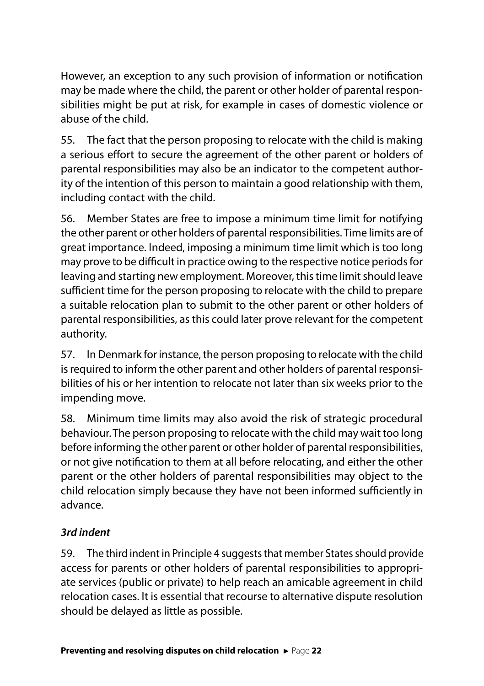However, an exception to any such provision of information or notification may be made where the child, the parent or other holder of parental responsibilities might be put at risk, for example in cases of domestic violence or abuse of the child.

55. The fact that the person proposing to relocate with the child is making a serious effort to secure the agreement of the other parent or holders of parental responsibilities may also be an indicator to the competent authority of the intention of this person to maintain a good relationship with them, including contact with the child.

56. Member States are free to impose a minimum time limit for notifying the other parent or other holders of parental responsibilities. Time limits are of great importance. Indeed, imposing a minimum time limit which is too long may prove to be difficult in practice owing to the respective notice periods for leaving and starting new employment. Moreover, this time limit should leave sufficient time for the person proposing to relocate with the child to prepare a suitable relocation plan to submit to the other parent or other holders of parental responsibilities, as this could later prove relevant for the competent authority.

57. In Denmark for instance, the person proposing to relocate with the child is required to inform the other parent and other holders of parental responsibilities of his or her intention to relocate not later than six weeks prior to the impending move.

58. Minimum time limits may also avoid the risk of strategic procedural behaviour. The person proposing to relocate with the child may wait too long before informing the other parent or other holder of parental responsibilities, or not give notification to them at all before relocating, and either the other parent or the other holders of parental responsibilities may object to the child relocation simply because they have not been informed sufficiently in advance.

### *3rd indent*

59. The third indent in Principle 4 suggests that member States should provide access for parents or other holders of parental responsibilities to appropriate services (public or private) to help reach an amicable agreement in child relocation cases. It is essential that recourse to alternative dispute resolution should be delayed as little as possible.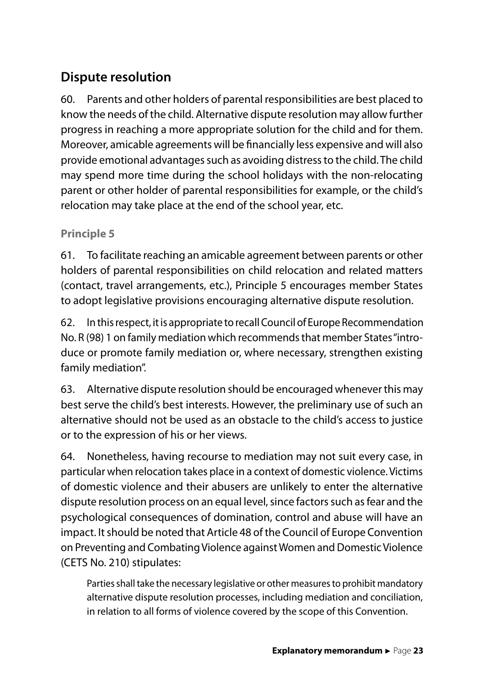## **Dispute resolution**

60. Parents and other holders of parental responsibilities are best placed to know the needs of the child. Alternative dispute resolution may allow further progress in reaching a more appropriate solution for the child and for them. Moreover, amicable agreements will be financially less expensive and will also provide emotional advantages such as avoiding distress to the child. The child may spend more time during the school holidays with the non-relocating parent or other holder of parental responsibilities for example, or the child's relocation may take place at the end of the school year, etc.

#### **Principle 5**

61. To facilitate reaching an amicable agreement between parents or other holders of parental responsibilities on child relocation and related matters (contact, travel arrangements, etc.), Principle 5 encourages member States to adopt legislative provisions encouraging alternative dispute resolution.

62. In this respect, it is appropriate to recall Council of Europe Recommendation No. R (98) 1 on family mediation which recommends that member States "introduce or promote family mediation or, where necessary, strengthen existing family mediation".

63. Alternative dispute resolution should be encouraged whenever this may best serve the child's best interests. However, the preliminary use of such an alternative should not be used as an obstacle to the child's access to justice or to the expression of his or her views.

64. Nonetheless, having recourse to mediation may not suit every case, in particular when relocation takes place in a context of domestic violence. Victims of domestic violence and their abusers are unlikely to enter the alternative dispute resolution process on an equal level, since factors such as fear and the psychological consequences of domination, control and abuse will have an impact. It should be noted that Article 48 of the Council of Europe Convention on Preventing and Combating Violence against Women and Domestic Violence (CETS No. 210) stipulates:

Parties shall take the necessary legislative or other measures to prohibit mandatory alternative dispute resolution processes, including mediation and conciliation, in relation to all forms of violence covered by the scope of this Convention.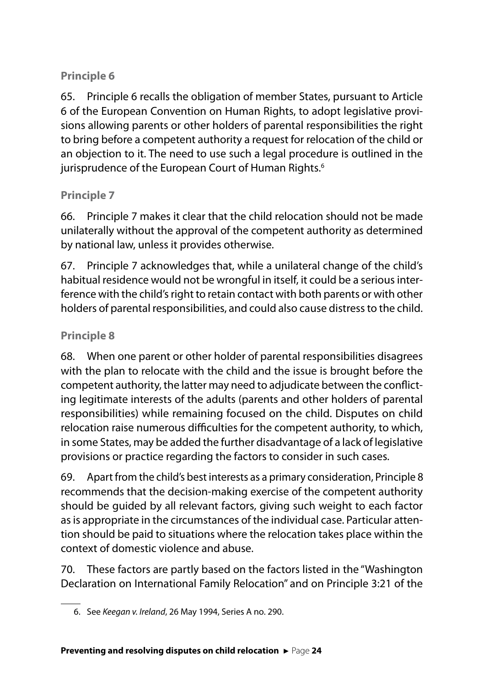## **Principle 6**

65. Principle 6 recalls the obligation of member States, pursuant to Article 6 of the European Convention on Human Rights, to adopt legislative provisions allowing parents or other holders of parental responsibilities the right to bring before a competent authority a request for relocation of the child or an objection to it. The need to use such a legal procedure is outlined in the jurisprudence of the European Court of Human Rights.<sup>6</sup>

### **Principle 7**

66. Principle 7 makes it clear that the child relocation should not be made unilaterally without the approval of the competent authority as determined by national law, unless it provides otherwise.

67. Principle 7 acknowledges that, while a unilateral change of the child's habitual residence would not be wrongful in itself, it could be a serious interference with the child's right to retain contact with both parents or with other holders of parental responsibilities, and could also cause distress to the child.

## **Principle 8**

68. When one parent or other holder of parental responsibilities disagrees with the plan to relocate with the child and the issue is brought before the competent authority, the latter may need to adjudicate between the conflicting legitimate interests of the adults (parents and other holders of parental responsibilities) while remaining focused on the child. Disputes on child relocation raise numerous difficulties for the competent authority, to which, in some States, may be added the further disadvantage of a lack of legislative provisions or practice regarding the factors to consider in such cases.

69. Apart from the child's best interests as a primary consideration, Principle 8 recommends that the decision-making exercise of the competent authority should be guided by all relevant factors, giving such weight to each factor as is appropriate in the circumstances of the individual case. Particular attention should be paid to situations where the relocation takes place within the context of domestic violence and abuse.

70. These factors are partly based on the factors listed in the "Washington Declaration on International Family Relocation" and on Principle 3:21 of the

<sup>6.</sup> See *Keegan v. Ireland*, 26 May 1994, Series A no. 290.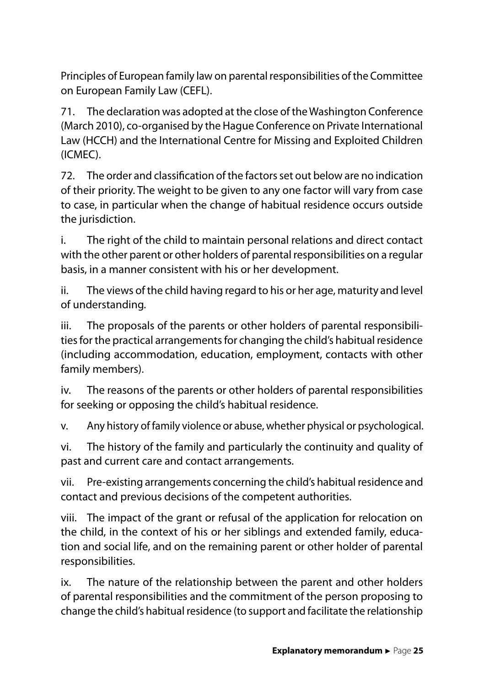Principles of European family law on parental responsibilities of the Committee on European Family Law (CEFL).

71. The declaration was adopted at the close of the Washington Conference (March 2010), co-organised by the Hague Conference on Private International Law (HCCH) and the International Centre for Missing and Exploited Children (ICMEC).

72. The order and classification of the factors set out below are no indication of their priority. The weight to be given to any one factor will vary from case to case, in particular when the change of habitual residence occurs outside the jurisdiction.

i. The right of the child to maintain personal relations and direct contact with the other parent or other holders of parental responsibilities on a regular basis, in a manner consistent with his or her development.

ii. The views of the child having regard to his or her age, maturity and level of understanding*.*

iii. The proposals of the parents or other holders of parental responsibilities for the practical arrangements for changing the child's habitual residence (including accommodation, education, employment, contacts with other family members).

iv. The reasons of the parents or other holders of parental responsibilities for seeking or opposing the child's habitual residence.

v. Any history of family violence or abuse, whether physical or psychological.

vi. The history of the family and particularly the continuity and quality of past and current care and contact arrangements.

vii. Pre-existing arrangements concerning the child's habitual residence and contact and previous decisions of the competent authorities.

viii. The impact of the grant or refusal of the application for relocation on the child, in the context of his or her siblings and extended family, education and social life, and on the remaining parent or other holder of parental responsibilities.

ix. The nature of the relationship between the parent and other holders of parental responsibilities and the commitment of the person proposing to change the child's habitual residence (to support and facilitate the relationship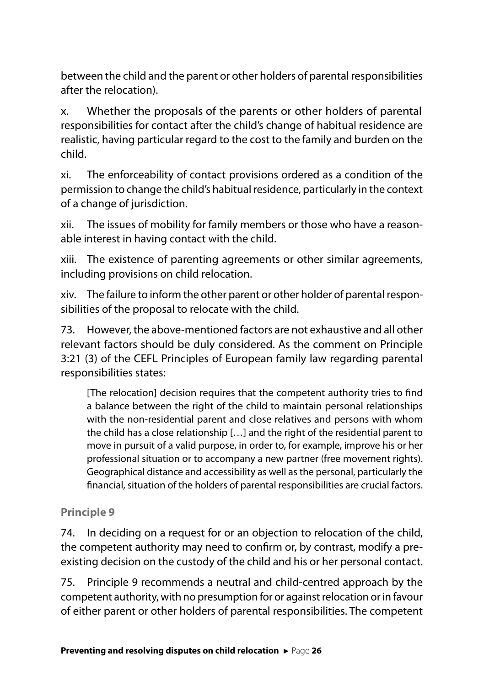between the child and the parent or other holders of parental responsibilities after the relocation).

x. Whether the proposals of the parents or other holders of parental responsibilities for contact after the child's change of habitual residence are realistic, having particular regard to the cost to the family and burden on the child.

xi. The enforceability of contact provisions ordered as a condition of the permission to change the child's habitual residence, particularly in the context of a change of jurisdiction.

xii. The issues of mobility for family members or those who have a reasonable interest in having contact with the child.

xiii. The existence of parenting agreements or other similar agreements, including provisions on child relocation.

xiv. The failure to inform the other parent or other holder of parental responsibilities of the proposal to relocate with the child.

73. However, the above-mentioned factors are not exhaustive and all other relevant factors should be duly considered. As the comment on Principle 3:21 (3) of the CEFL Principles of European family law regarding parental responsibilities states:

[The relocation] decision requires that the competent authority tries to find a balance between the right of the child to maintain personal relationships with the non-residential parent and close relatives and persons with whom the child has a close relationship […] and the right of the residential parent to move in pursuit of a valid purpose, in order to, for example, improve his or her professional situation or to accompany a new partner (free movement rights). Geographical distance and accessibility as well as the personal, particularly the financial, situation of the holders of parental responsibilities are crucial factors.

### **Principle 9**

74. In deciding on a request for or an objection to relocation of the child, the competent authority may need to confirm or, by contrast, modify a preexisting decision on the custody of the child and his or her personal contact.

75. Principle 9 recommends a neutral and child-centred approach by the competent authority, with no presumption for or against relocation or in favour of either parent or other holders of parental responsibilities. The competent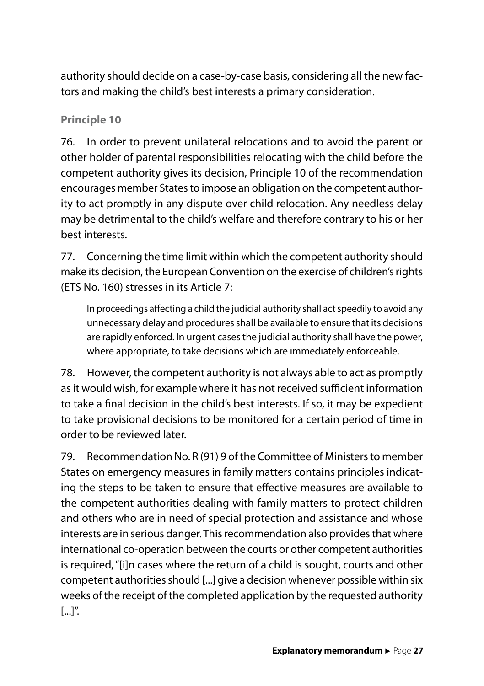authority should decide on a case-by-case basis, considering all the new factors and making the child's best interests a primary consideration.

#### **Principle 10**

76. In order to prevent unilateral relocations and to avoid the parent or other holder of parental responsibilities relocating with the child before the competent authority gives its decision, Principle 10 of the recommendation encourages member States to impose an obligation on the competent authority to act promptly in any dispute over child relocation. Any needless delay may be detrimental to the child's welfare and therefore contrary to his or her best interests.

77. Concerning the time limit within which the competent authority should make its decision, the European Convention on the exercise of children's rights (ETS No. 160) stresses in its Article 7:

In proceedings affecting a child the judicial authority shall act speedily to avoid any unnecessary delay and procedures shall be available to ensure that its decisions are rapidly enforced. In urgent cases the judicial authority shall have the power, where appropriate, to take decisions which are immediately enforceable.

78. However, the competent authority is not always able to act as promptly as it would wish, for example where it has not received sufficient information to take a final decision in the child's best interests. If so, it may be expedient to take provisional decisions to be monitored for a certain period of time in order to be reviewed later.

79. Recommendation No. R (91) 9 of the Committee of Ministers to member States on emergency measures in family matters contains principles indicating the steps to be taken to ensure that effective measures are available to the competent authorities dealing with family matters to protect children and others who are in need of special protection and assistance and whose interests are in serious danger. This recommendation also provides that where international co-operation between the courts or other competent authorities is required, "[i]n cases where the return of a child is sought, courts and other competent authorities should [...] give a decision whenever possible within six weeks of the receipt of the completed application by the requested authority [...]".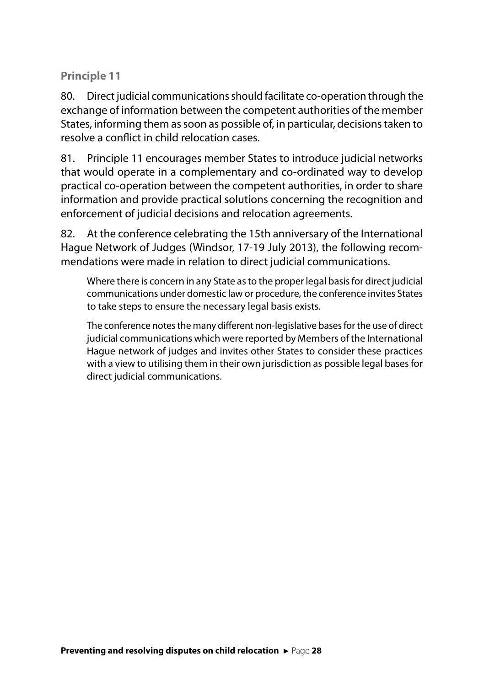#### **Principle 11**

80. Direct judicial communications should facilitate co-operation through the exchange of information between the competent authorities of the member States, informing them as soon as possible of, in particular, decisions taken to resolve a conflict in child relocation cases.

81. Principle 11 encourages member States to introduce judicial networks that would operate in a complementary and co-ordinated way to develop practical co-operation between the competent authorities, in order to share information and provide practical solutions concerning the recognition and enforcement of judicial decisions and relocation agreements.

82. At the conference celebrating the 15th anniversary of the International Hague Network of Judges (Windsor, 17-19 July 2013), the following recommendations were made in relation to direct judicial communications.

Where there is concern in any State as to the proper legal basis for direct judicial communications under domestic law or procedure, the conference invites States to take steps to ensure the necessary legal basis exists.

The conference notes the many different non-legislative bases for the use of direct judicial communications which were reported by Members of the International Hague network of judges and invites other States to consider these practices with a view to utilising them in their own jurisdiction as possible legal bases for direct judicial communications.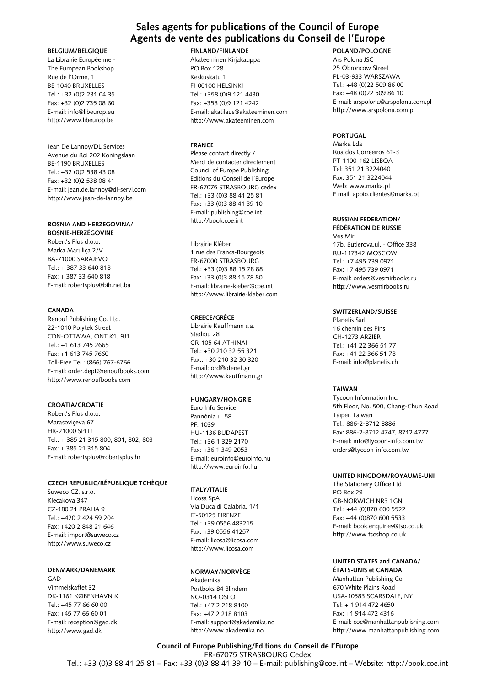#### **Sales agents for publications of the Council of Europe Agents de vente des publications du Conseil de l'Europe**

#### **BELGIUM/BELGIQUE**

La Librairie Européenne - The European Bookshop Rue de l'Orme, 1 BE-1040 BRUXELLES Tel.: +32 (0)2 231 04 35 Fax: +32 (0)2 735 08 60 E-mail: info@libeurop.eu http://www.libeurop.be

Jean De Lannoy/DL Services Avenue du Roi 202 Koningslaan BE-1190 BRUXELLES Tel.: +32 (0)2 538 43 08 Fax: +32 (0)2 538 08 41 E-mail: jean.de.lannoy@dl-servi.com http://www.jean-de-lannoy.be

#### **BoSnIA And HErzEGovInA/**

**BoSnIE-HErzéGovInE** Robert's Plus d.o.o. Marka Maruliça 2/V BA-71000 SARAJEVO  $Tel + 387 33 640 818$ Fax: + 387 33 640 818 E-mail: robertsplus@bih.net.ba

#### **CAnAdA**

Renouf Publishing Co. Ltd. 22-1010 Polytek Street CDN-OTTAWA, ONT K1J 9J1 Tel.: +1 613 745 2665 Fax: +1 613 745 7660 Toll-Free Tel.: (866) 767-6766 E-mail: order.dept@renoufbooks.com http://www.renoufbooks.com

#### **CroAtIA/CroAtIE**

Robert's Plus d.o.o. Marasoviçeva 67 HR-21000 SPLiT Tel.: + 385 21 315 800, 801, 802, 803 Fax: + 385 21 315 804 E-mail: robertsplus@robertsplus.hr

#### **CzECH rEPUBLIC/réPUBLIQUE tCHÈQUE**

Suweco CZ, s.r.o. Klecakova 347 CZ-180 21 PRAHA 9  $Tel + 420 2 424 59 204$ Fax: +420 2 848 21 646 E-mail: import@suweco.cz http://www.suweco.cz

#### **dEnMArK/dAnEMArK**

GAD Vimmelskaftet 32 DK-1161 KØBENHAVN K  $Tel + 45 77 66 60 00$ Fax: +45 77 66 60 01 E-mail: reception@gad.dk http://www.gad.dk

#### **FInLAnd/FInLAndE**

Akateeminen Kirjakauppa PO Box 128 Keskuskatu 1 Fi-00100 HELSiNKi Tel.: +358 (0)9 121 4430 Fax: +358 (0)9 121 4242 E-mail: akatilaus@akateeminen.com http://www.akateeminen.com

#### **FrAnCE**

Please contact directly / Merci de contacter directement Council of Europe Publishing Editions du Conseil de l'Europe FR-67075 STRASBOURG cedex Tel.: +33 (0)3 88 41 25 81 Fax: +33 (0)3 88 41 39 10 E-mail: publishing@coe.int http://book.coe.int

Librairie Kléber 1 rue des Francs-Bourgeois FR-67000 STRASBOURG Tel.: +33 (0)3 88 15 78 88 Fax: +33 (0)3 88 15 78 80 E-mail: librairie-kleber@coe.int http://www.librairie-kleber.com

#### **GrEECE/GrÈCE**

Librairie Kauffmann s.a. Stadiou 28 GR-105 64 ATHiNAi Tel.: +30 210 32 55 321 Fax.: +30 210 32 30 320 E-mail: ord@otenet.gr http://www.kauffmann.gr

#### **HUnGArY/HonGrIE**

Euro info Service Pannónia u. 58. PF. 1039 HU-1136 BUDAPEST Tel.: +36 1 329 2170 Fax: +36 1 349 2053 E-mail: euroinfo@euroinfo.hu http://www.euroinfo.hu

#### **ItALY/ItALIE**

Licosa SpA Via Duca di Calabria, 1/1 iT-50125 FiRENZE Tel.: +39 0556 483215 Fax: +39 0556 41257 E-mail: licosa@licosa.com http://www.licosa.com

#### **norWAY/norvÈGE**

Akademika Postboks 84 Blindern NO-0314 OSLO Tel.: +47 2 218 8100 Fax: +47 2 218 8103 E-mail: support@akademika.no http://www.akademika.no

#### **PoLAnd/PoLoGnE**

Ars Polona JSC 25 Obroncow Street PL-03-933 WARSZAWA Tel.: +48 (0)22 509 86 00 Fax: +48 (0)22 509 86 10 E-mail: arspolona@arspolona.com.pl http://www.arspolona.com.pl

#### **PORTUGAL**

Marka Lda Rua dos Correeiros 61-3 PT-1100-162 LiSBOA Tel: 351 21 3224040 Fax: 351 21 3224044 Web: www.marka.pt E mail: apoio.clientes@marka.pt

#### **rUSSIAn FEdErAtIon/**

**FédérAtIon dE rUSSIE** Ves Mir 17b, Butlerova.ul. - Office 338 RU-117342 MOSCOW Tel.: +7 495 739 0971 Fax: +7 495 739 0971 E-mail: orders@vesmirbooks.ru http://www.vesmirbooks.ru

#### **SWItzErLAnd/SUISSE**

Planetis Sàrl 16 chemin des Pins CH-1273 ARZiER Tel.: +41 22 366 51 77 Fax: +41 22 366 51 78 E-mail: info@planetis.ch

#### **tAIWAn**

Tycoon information inc. 5th Floor, No. 500, Chang-Chun Road Taipei, Taiwan Tel.: 886-2-8712 8886 Fax: 886-2-8712 4747, 8712 4777 E-mail: info@tycoon-info.com.tw orders@tycoon-info.com.tw

#### **UnItEd KInGdoM/roYAUME-UnI**

The Stationery Office Ltd PO Box 29 GB-NORWiCH NR3 1GN Tel.: +44 (0)870 600 5522 Fax: +44 (0)870 600 5533 E-mail: book.enquiries@tso.co.uk http://www.tsoshop.co.uk

#### **UnItEd StAtES and CAnAdA/ étAtS-UnIS et CAnAdA**

Manhattan Publishing Co 670 White Plains Road USA-10583 SCARSDALE, NY Tel: + 1 914 472 4650 Fax: +1 914 472 4316 E-mail: coe@manhattanpublishing.com http://www.manhattanpublishing.com

**Council of Europe Publishing/Editions du Conseil de l'Europe** FR-67075 STRASBOURG Cedex

### Tel.: +33 (0)3 88 41 25 81 – Fax: +33 (0)3 88 41 39 10 – E-mail: publishing@coe.int – Website: http://book.coe.int